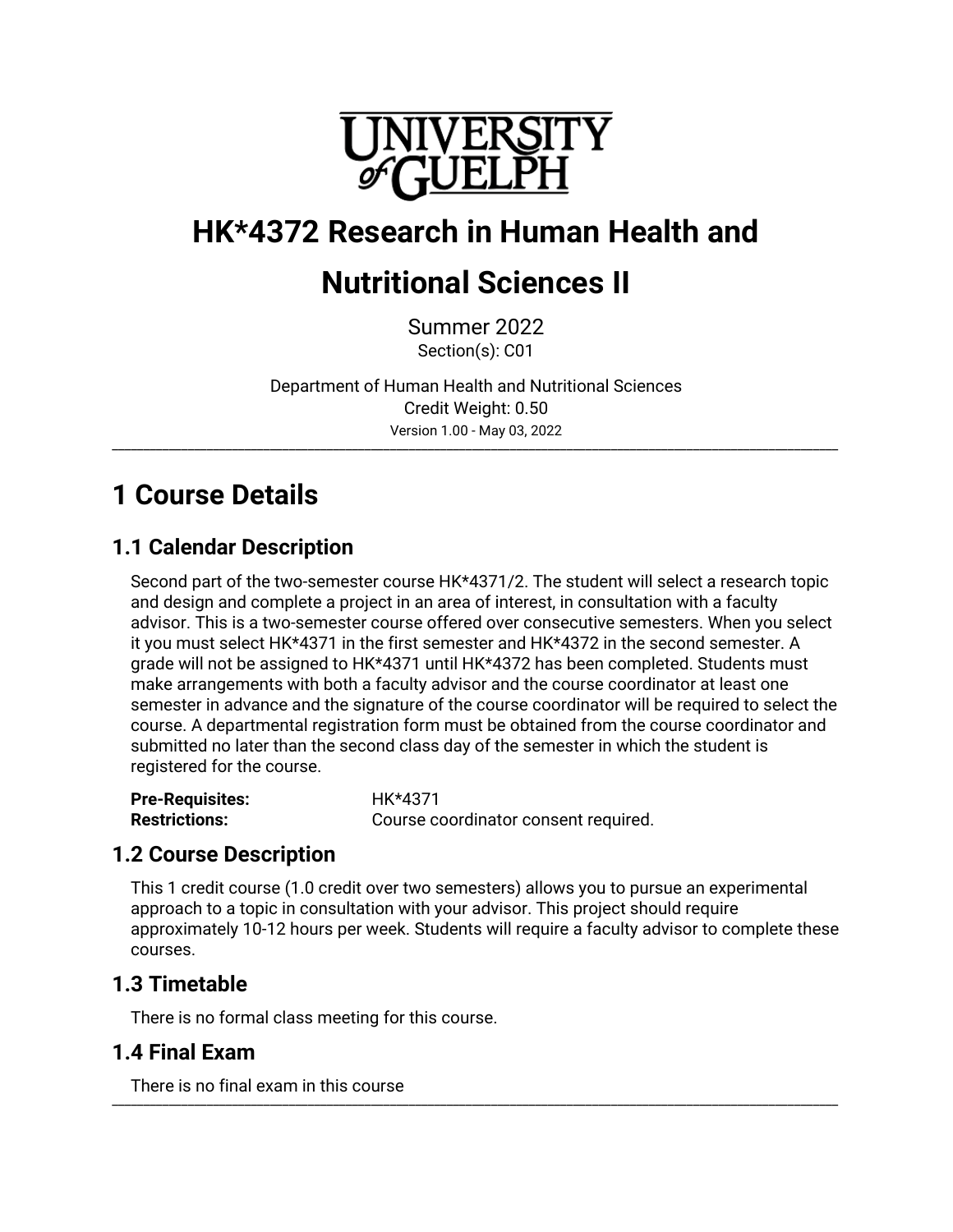

# **HK\*4372 Research in Human Health and**

# **Nutritional Sciences II**

Summer 2022 Section(s): C01

Department of Human Health and Nutritional Sciences Credit Weight: 0.50 Version 1.00 - May 03, 2022

\_\_\_\_\_\_\_\_\_\_\_\_\_\_\_\_\_\_\_\_\_\_\_\_\_\_\_\_\_\_\_\_\_\_\_\_\_\_\_\_\_\_\_\_\_\_\_\_\_\_\_\_\_\_\_\_\_\_\_\_\_\_\_\_\_\_\_\_\_\_\_\_\_\_\_\_\_\_\_\_\_\_\_\_\_\_\_\_\_\_\_\_\_\_\_\_\_\_\_\_\_\_\_\_\_\_\_\_\_\_\_\_\_\_\_

# **1 Course Details**

## **1.1 Calendar Description**

Second part of the two-semester course HK\*4371/2. The student will select a research topic and design and complete a project in an area of interest, in consultation with a faculty advisor. This is a two-semester course offered over consecutive semesters. When you select it you must select HK\*4371 in the first semester and HK\*4372 in the second semester. A grade will not be assigned to HK\*4371 until HK\*4372 has been completed. Students must make arrangements with both a faculty advisor and the course coordinator at least one semester in advance and the signature of the course coordinator will be required to select the course. A departmental registration form must be obtained from the course coordinator and submitted no later than the second class day of the semester in which the student is registered for the course.

| <b>Pre-Requisites:</b> | HK*4371                              |
|------------------------|--------------------------------------|
| <b>Restrictions:</b>   | Course coordinator consent required. |

## **1.2 Course Description**

This 1 credit course (1.0 credit over two semesters) allows you to pursue an experimental approach to a topic in consultation with your advisor. This project should require approximately 10-12 hours per week. Students will require a faculty advisor to complete these courses.

## **1.3 Timetable**

There is no formal class meeting for this course.

## **1.4 Final Exam**

There is no final exam in this course \_\_\_\_\_\_\_\_\_\_\_\_\_\_\_\_\_\_\_\_\_\_\_\_\_\_\_\_\_\_\_\_\_\_\_\_\_\_\_\_\_\_\_\_\_\_\_\_\_\_\_\_\_\_\_\_\_\_\_\_\_\_\_\_\_\_\_\_\_\_\_\_\_\_\_\_\_\_\_\_\_\_\_\_\_\_\_\_\_\_\_\_\_\_\_\_\_\_\_\_\_\_\_\_\_\_\_\_\_\_\_\_\_\_\_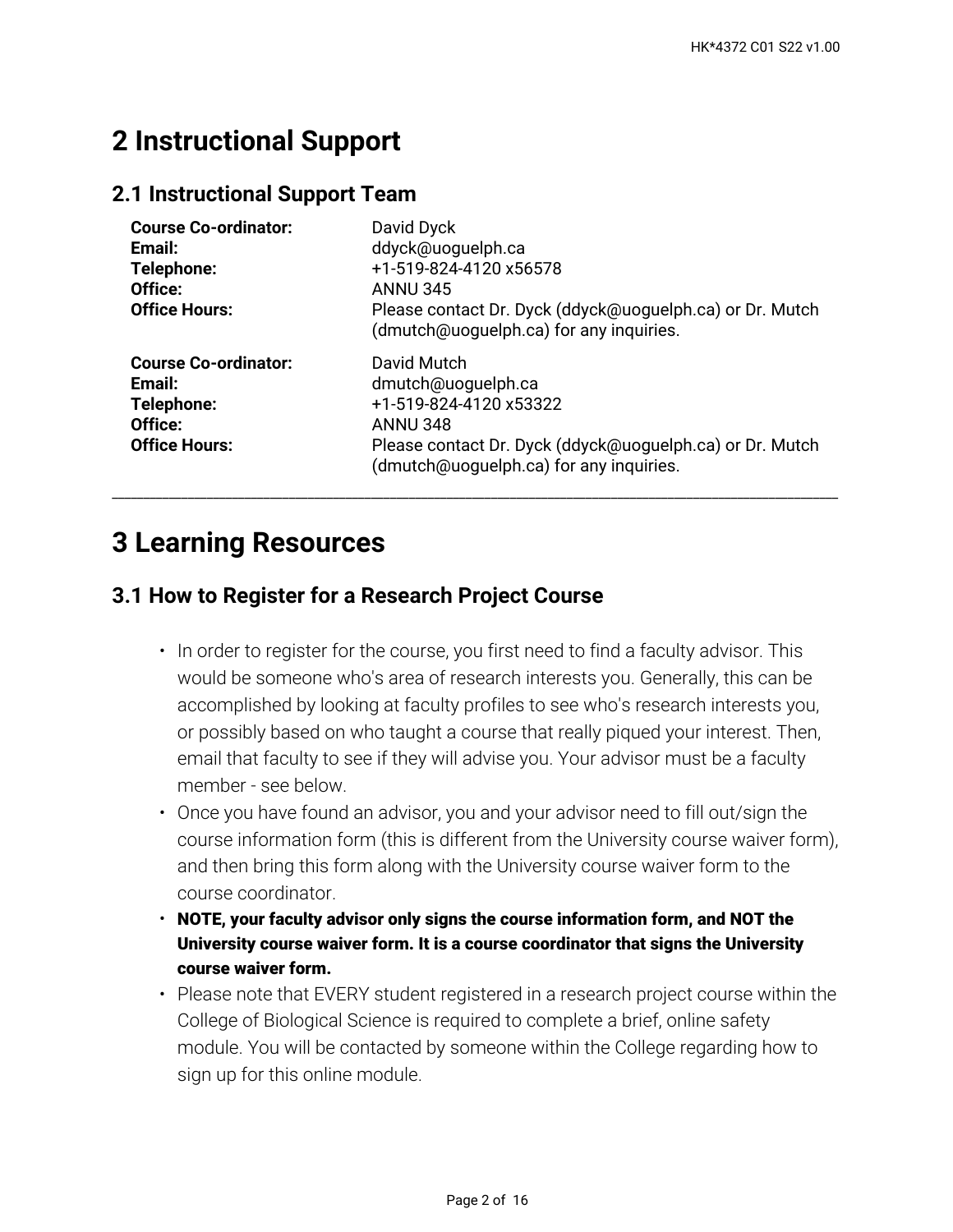## **2 Instructional Support**

### **2.1 Instructional Support Team**

| <b>Course Co-ordinator:</b><br>Email:<br>Telephone:<br>Office:<br><b>Office Hours:</b> | David Dyck<br>ddyck@uoquelph.ca<br>+1-519-824-4120 x56578<br><b>ANNU 345</b><br>Please contact Dr. Dyck (ddyck@uoguelph.ca) or Dr. Mutch<br>(dmutch@uoguelph.ca) for any inquiries.   |
|----------------------------------------------------------------------------------------|---------------------------------------------------------------------------------------------------------------------------------------------------------------------------------------|
| <b>Course Co-ordinator:</b><br>Email:<br>Telephone:<br>Office:<br><b>Office Hours:</b> | David Mutch<br>dmutch@uoguelph.ca<br>+1-519-824-4120 x53322<br><b>ANNU 348</b><br>Please contact Dr. Dyck (ddyck@uoguelph.ca) or Dr. Mutch<br>(dmutch@uoguelph.ca) for any inquiries. |

\_\_\_\_\_\_\_\_\_\_\_\_\_\_\_\_\_\_\_\_\_\_\_\_\_\_\_\_\_\_\_\_\_\_\_\_\_\_\_\_\_\_\_\_\_\_\_\_\_\_\_\_\_\_\_\_\_\_\_\_\_\_\_\_\_\_\_\_\_\_\_\_\_\_\_\_\_\_\_\_\_\_\_\_\_\_\_\_\_\_\_\_\_\_\_\_\_\_\_\_\_\_\_\_\_\_\_\_\_\_\_\_\_\_\_

## **3 Learning Resources**

## **3.1 How to Register for a Research Project Course**

- $\bm{\cdot}$  In order to register for the course, you first need to find a faculty advisor. This would be someone who's area of research interests you. Generally, this can be accomplished by looking at faculty profiles to see who's research interests you, or possibly based on who taught a course that really piqued your interest. Then, email that faculty to see if they will advise you. Your advisor must be a faculty member - see below.
- Once you have found an advisor, you and your advisor need to fill out/sign the course information form (this is different from the University course waiver form), and then bring this form along with the University course waiver form to the course coordinator.
- **NOTE, your faculty advisor only signs the course information form, and NOT the University course waiver form. It is a course coordinator that signs the University course waiver form.**
- Please note that EVERY student registered in a research project course within the College of Biological Science is required to complete a brief, online safety module. You will be contacted by someone within the College regarding how to sign up for this online module.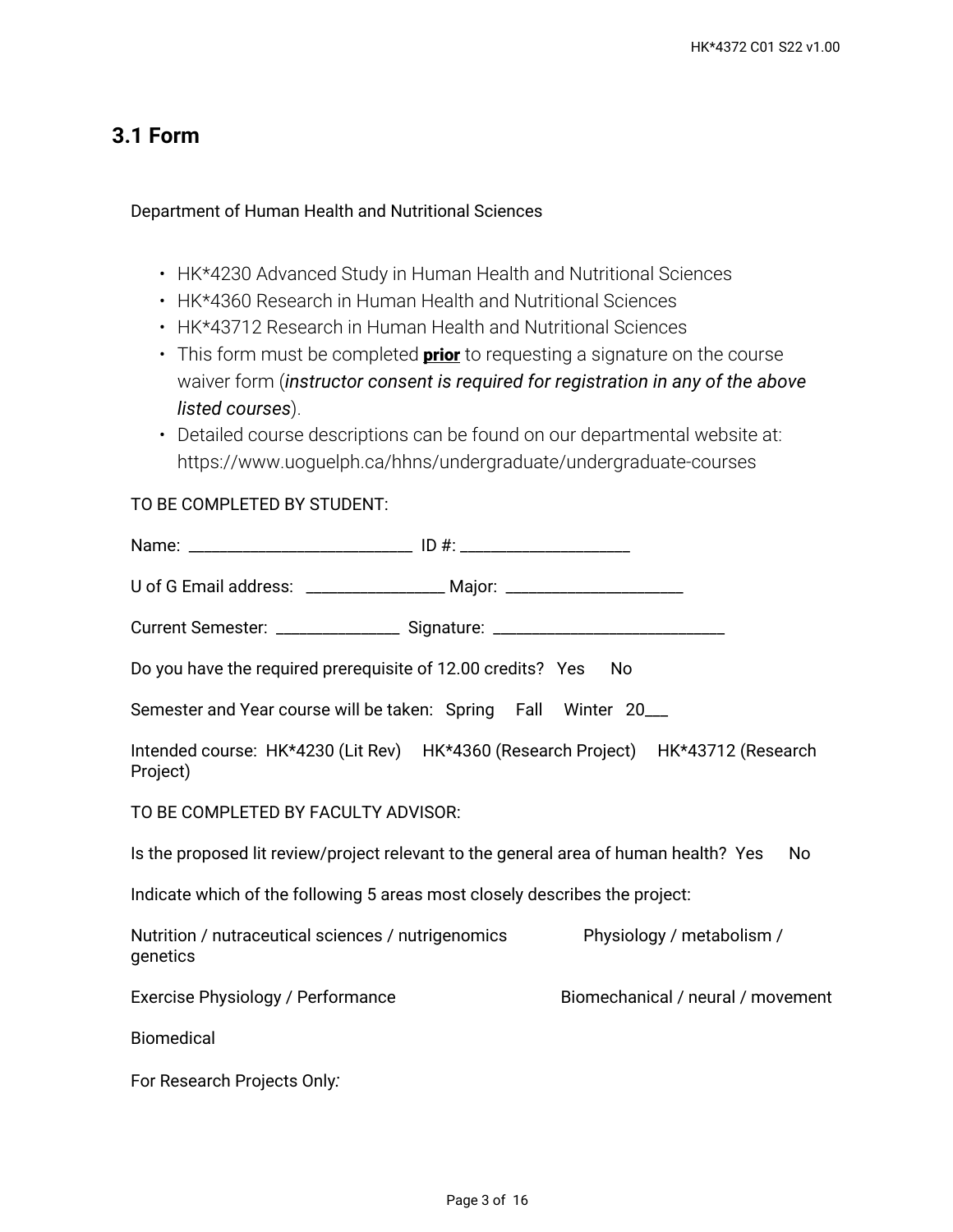## **3.1 Form**

#### Department of Human Health and Nutritional Sciences

- HK\*4230 Advanced Study in Human Health and Nutritional Sciences
- HK\*4360 Research in Human Health and Nutritional Sciences
- HK\*43712 Research in Human Health and Nutritional Sciences
- This form must be completed **prior** to requesting a signature on the course waiver form (*instructor consent is required for registration in any of the above listed courses*).
- Detailed course descriptions can be found on our departmental website at: https://www.uoguelph.ca/hhns/undergraduate/undergraduate-courses

#### TO BE COMPLETED BY STUDENT:

| U of G Email address: ___________________ Major: _______________________________ |                                                                                            |
|----------------------------------------------------------------------------------|--------------------------------------------------------------------------------------------|
| Current Semester: __________________ Signature: ________________________________ |                                                                                            |
| Do you have the required prerequisite of 12.00 credits? Yes                      | - No                                                                                       |
| Semester and Year course will be taken: Spring Fall Winter 20___                 |                                                                                            |
| Project)                                                                         | Intended course: HK*4230 (Lit Rev) HK*4360 (Research Project) HK*43712 (Research           |
| TO BE COMPLETED BY FACULTY ADVISOR:                                              |                                                                                            |
|                                                                                  | Is the proposed lit review/project relevant to the general area of human health? Yes<br>No |
| Indicate which of the following 5 areas most closely describes the project:      |                                                                                            |
| Nutrition / nutraceutical sciences / nutrigenomics<br>genetics                   | Physiology / metabolism /                                                                  |
| Exercise Physiology / Performance                                                | Biomechanical / neural / movement                                                          |
| <b>Biomedical</b>                                                                |                                                                                            |
| For Research Projects Only:                                                      |                                                                                            |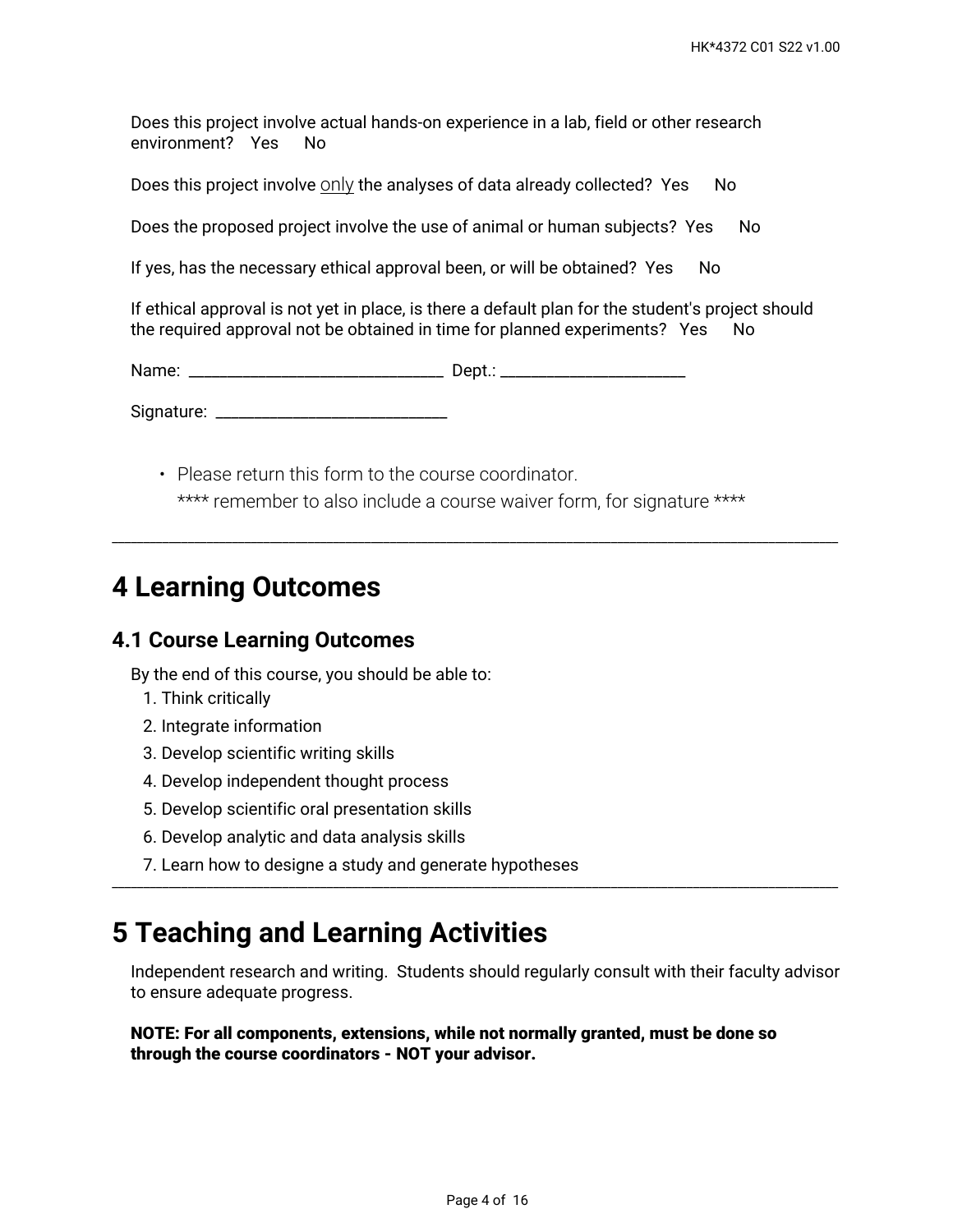Does this project involve actual hands-on experience in a lab, field or other research environment? Yes No

Does this project involve  $\frac{On}{\chi}$  the analyses of data already collected? Yes No

Does the proposed project involve the use of animal or human subjects? Yes No

If yes, has the necessary ethical approval been, or will be obtained? Yes No

If ethical approval is not yet in place, is there a default plan for the student's project should the required approval not be obtained in time for planned experiments? Yes No

Name: \_\_\_\_\_\_\_\_\_\_\_\_\_\_\_\_\_\_\_\_\_\_\_\_\_\_\_\_\_\_\_\_\_ Dept.: \_\_\_\_\_\_\_\_\_\_\_\_\_\_\_\_\_\_\_\_\_\_\_\_

Signature: \_\_\_\_\_\_\_\_\_\_\_\_\_\_\_\_\_\_\_\_\_\_\_\_\_\_\_\_\_\_

• Please return this form to the course coordinator. \*\*\*\* remember to also include a course waiver form, for signature \*\*\*\*

\_\_\_\_\_\_\_\_\_\_\_\_\_\_\_\_\_\_\_\_\_\_\_\_\_\_\_\_\_\_\_\_\_\_\_\_\_\_\_\_\_\_\_\_\_\_\_\_\_\_\_\_\_\_\_\_\_\_\_\_\_\_\_\_\_\_\_\_\_\_\_\_\_\_\_\_\_\_\_\_\_\_\_\_\_\_\_\_\_\_\_\_\_\_\_\_\_\_\_\_\_\_\_\_\_\_\_\_\_\_\_\_\_\_\_

## **4 Learning Outcomes**

#### **4.1 Course Learning Outcomes**

By the end of this course, you should be able to:

- 1. Think critically
- 2. Integrate information
- 3. Develop scientific writing skills
- 4. Develop independent thought process
- 5. Develop scientific oral presentation skills
- 6. Develop analytic and data analysis skills
- 7. Learn how to designe a study and generate hypotheses

## **5 Teaching and Learning Activities**

Independent research and writing. Students should regularly consult with their faculty advisor to ensure adequate progress.

\_\_\_\_\_\_\_\_\_\_\_\_\_\_\_\_\_\_\_\_\_\_\_\_\_\_\_\_\_\_\_\_\_\_\_\_\_\_\_\_\_\_\_\_\_\_\_\_\_\_\_\_\_\_\_\_\_\_\_\_\_\_\_\_\_\_\_\_\_\_\_\_\_\_\_\_\_\_\_\_\_\_\_\_\_\_\_\_\_\_\_\_\_\_\_\_\_\_\_\_\_\_\_\_\_\_\_\_\_\_\_\_\_\_\_

**NOTE: For all components, extensions, while not normally granted, must be done so through the course coordinators - NOT your advisor.**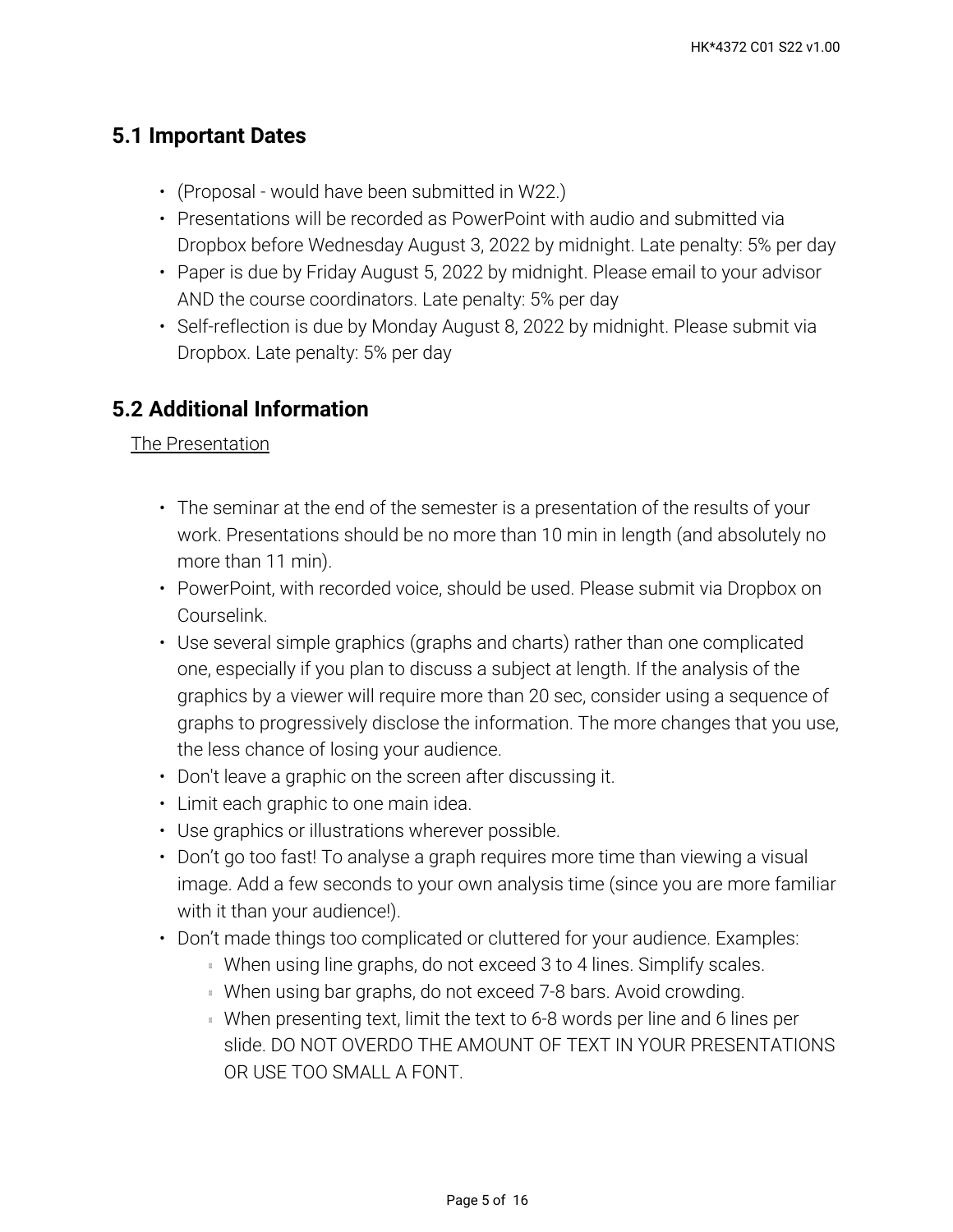## **5.1 Important Dates**

- (Proposal would have been submitted in W22.)
- Presentations will be recorded as PowerPoint with audio and submitted via Dropbox before Wednesday August 3, 2022 by midnight. Late penalty: 5% per day
- Paper is due by Friday August 5, 2022 by midnight. Please email to your advisor AND the course coordinators. Late penalty: 5% per day
- Self-reflection is due by Monday August 8, 2022 by midnight. Please submit via Dropbox. Late penalty: 5% per day

## **5.2 Additional Information**

The Presentation

- The seminar at the end of the semester is a presentation of the results of your work. Presentations should be no more than 10 min in length (and absolutely no more than 11 min).
- PowerPoint, with recorded voice, should be used. Please submit via Dropbox on Courselink.
- Use several simple graphics (graphs and charts) rather than one complicated one, especially if you plan to discuss a subject at length. If the analysis of the graphics by a viewer will require more than 20 sec, consider using a sequence of graphs to progressively disclose the information. The more changes that you use, the less chance of losing your audience.
- Don't leave a graphic on the screen after discussing it.
- Limit each graphic to one main idea.
- Use graphics or illustrations wherever possible.
- Don't go too fast! To analyse a graph requires more time than viewing a visual image. Add a few seconds to your own analysis time (since you are more familiar with it than your audience!).
- Don't made things too complicated or cluttered for your audience. Examples:
	- **When using line graphs, do not exceed 3 to 4 lines. Simplify scales.**
	- **When using bar graphs, do not exceed 7-8 bars. Avoid crowding.**
	- When presenting text, limit the text to 6-8 words per line and 6 lines per slide. DO NOT OVERDO THE AMOUNT OF TEXT IN YOUR PRESENTATIONS OR USE TOO SMALL A FONT.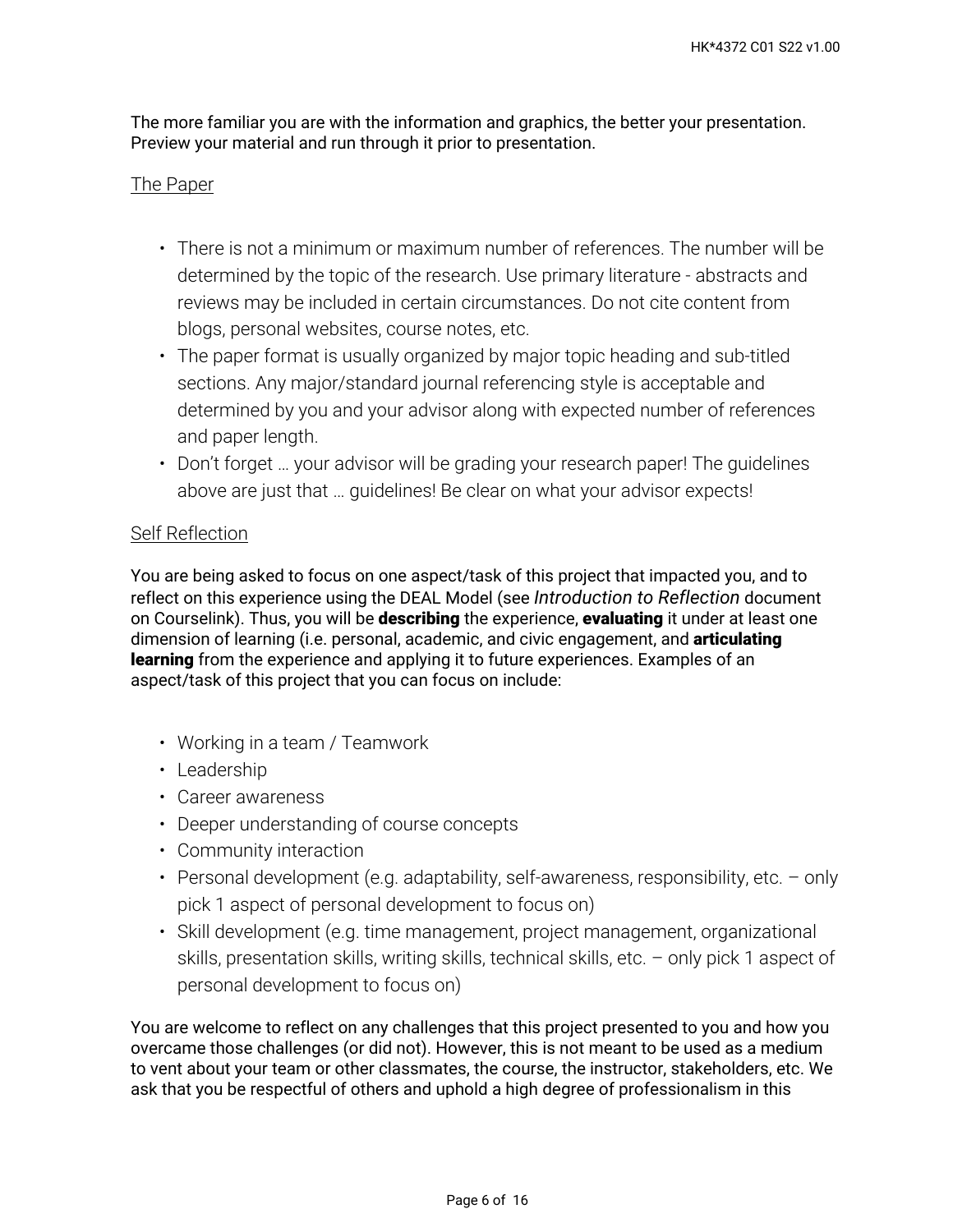The more familiar you are with the information and graphics, the better your presentation. Preview your material and run through it prior to presentation.

#### The Paper

- There is not a minimum or maximum number of references. The number will be determined by the topic of the research. Use primary literature - abstracts and reviews may be included in certain circumstances. Do not cite content from blogs, personal websites, course notes, etc.
- The paper format is usually organized by major topic heading and sub-titled sections. Any major/standard journal referencing style is acceptable and determined by you and your advisor along with expected number of references and paper length.
- Don't forget … your advisor will be grading your research paper! The guidelines above are just that … guidelines! Be clear on what your advisor expects!

#### Self Reflection

You are being asked to focus on one aspect/task of this project that impacted you, and to reflect on this experience using the DEAL Model (see *Introduction to Reflection* document on Courselink). Thus, you will be **describing** the experience, **evaluating** it under at least one dimension of learning (i.e. personal, academic, and civic engagement, and **articulating learning** from the experience and applying it to future experiences. Examples of an aspect/task of this project that you can focus on include:

- Working in a team / Teamwork
- Leadership
- Career awareness
- Deeper understanding of course concepts
- Community interaction
- Personal development (e.g. adaptability, self-awareness, responsibility, etc. only pick 1 aspect of personal development to focus on)
- Skill development (e.g. time management, project management, organizational skills, presentation skills, writing skills, technical skills, etc. – only pick 1 aspect of personal development to focus on)

You are welcome to reflect on any challenges that this project presented to you and how you overcame those challenges (or did not). However, this is not meant to be used as a medium to vent about your team or other classmates, the course, the instructor, stakeholders, etc. We ask that you be respectful of others and uphold a high degree of professionalism in this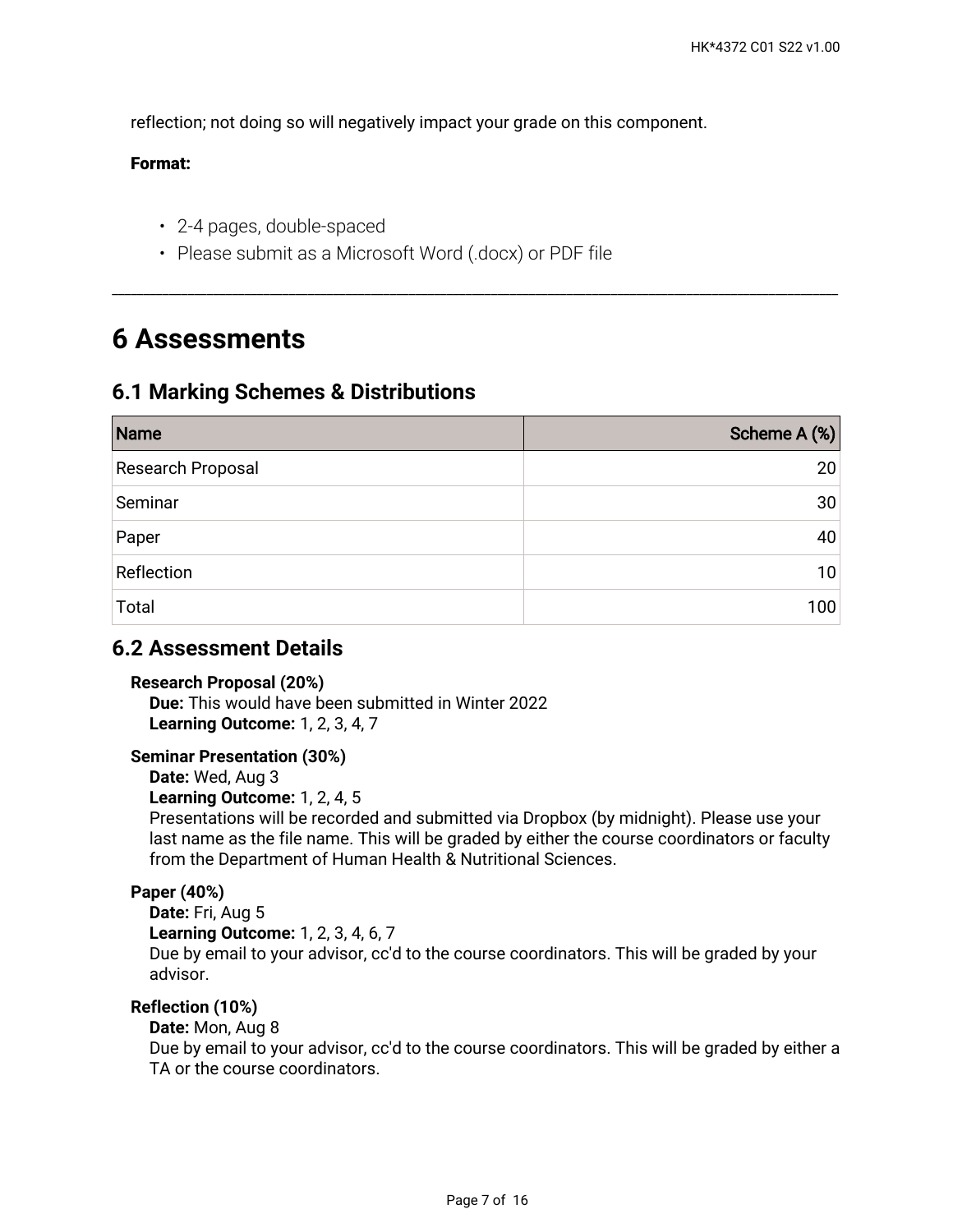reflection; not doing so will negatively impact your grade on this component.

#### **Format:**

- 2-4 pages, double-spaced
- Please submit as a Microsoft Word (.docx) or PDF file

## **6 Assessments**

### **6.1 Marking Schemes & Distributions**

| Name              | Scheme A (%) |
|-------------------|--------------|
| Research Proposal | 20           |
| Seminar           | 30           |
| Paper             | 40           |
| Reflection        | 10           |
| Total             | 100          |

\_\_\_\_\_\_\_\_\_\_\_\_\_\_\_\_\_\_\_\_\_\_\_\_\_\_\_\_\_\_\_\_\_\_\_\_\_\_\_\_\_\_\_\_\_\_\_\_\_\_\_\_\_\_\_\_\_\_\_\_\_\_\_\_\_\_\_\_\_\_\_\_\_\_\_\_\_\_\_\_\_\_\_\_\_\_\_\_\_\_\_\_\_\_\_\_\_\_\_\_\_\_\_\_\_\_\_\_\_\_\_\_\_\_\_

### **6.2 Assessment Details**

#### **Research Proposal (20%)**

**Due:** This would have been submitted in Winter 2022 **Learning Outcome:** 1, 2, 3, 4, 7

#### **Seminar Presentation (30%)**

**Date:** Wed, Aug 3

#### **Learning Outcome:** 1, 2, 4, 5

Presentations will be recorded and submitted via Dropbox (by midnight). Please use your last name as the file name. This will be graded by either the course coordinators or faculty from the Department of Human Health & Nutritional Sciences.

#### **Paper (40%)**

**Date:** Fri, Aug 5 **Learning Outcome:** 1, 2, 3, 4, 6, 7 Due by email to your advisor, cc'd to the course coordinators. This will be graded by your advisor.

#### **Reflection (10%)**

#### **Date:** Mon, Aug 8

Due by email to your advisor, cc'd to the course coordinators. This will be graded by either a TA or the course coordinators.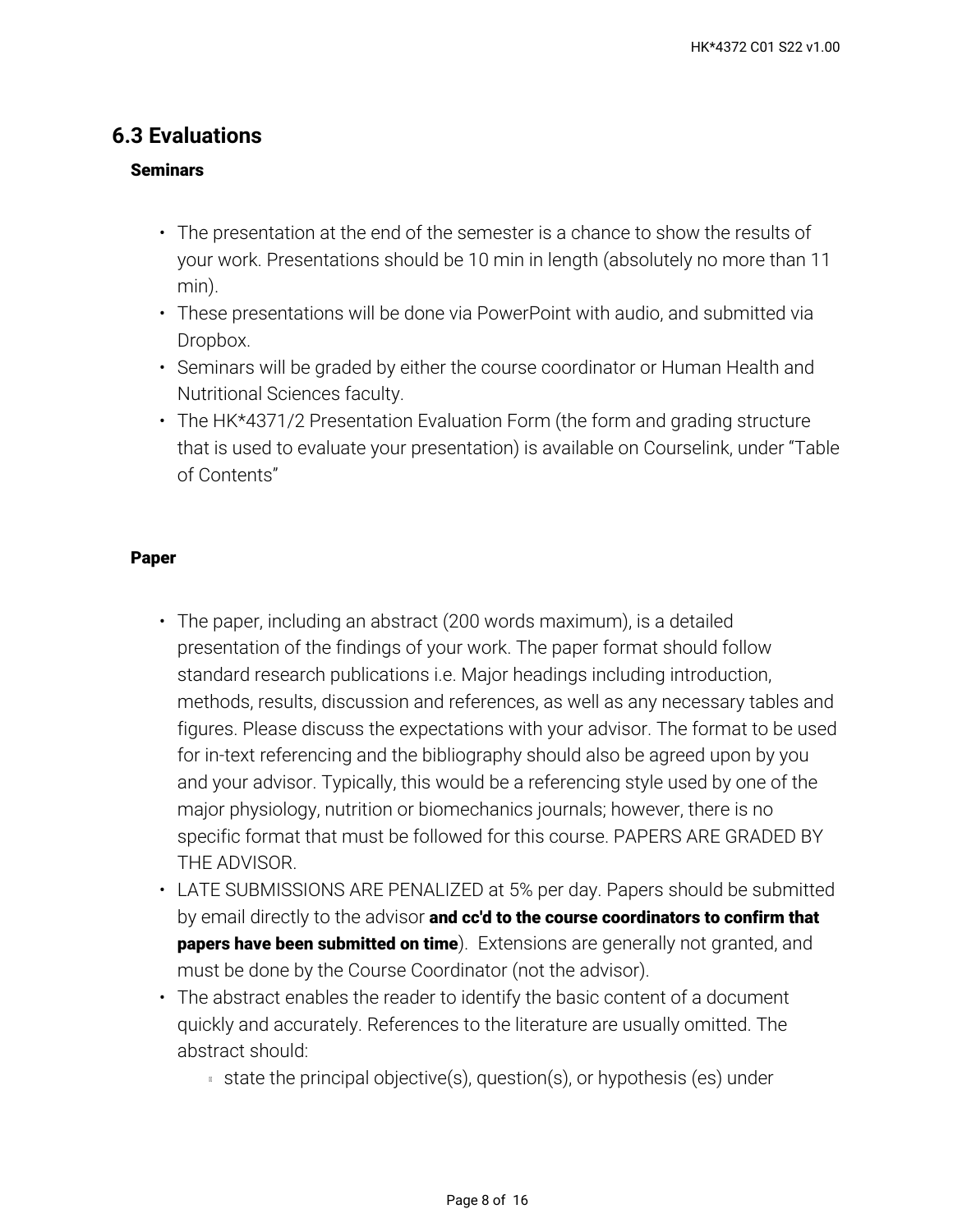## **6.3 Evaluations**

#### **Seminars**

- $\cdot$  The presentation at the end of the semester is a chance to show the results of your work. Presentations should be 10 min in length (absolutely no more than 11 min).
- These presentations will be done via PowerPoint with audio, and submitted via Dropbox.
- Seminars will be graded by either the course coordinator or Human Health and Nutritional Sciences faculty.
- The HK\*4371/2 Presentation Evaluation Form (the form and grading structure that is used to evaluate your presentation) is available on Courselink, under "Table of Contents"

#### **Paper**

- The paper, including an abstract (200 words maximum), is a detailed presentation of the findings of your work. The paper format should follow standard research publications i.e. Major headings including introduction, methods, results, discussion and references, as well as any necessary tables and figures. Please discuss the expectations with your advisor. The format to be used for in-text referencing and the bibliography should also be agreed upon by you and your advisor. Typically, this would be a referencing style used by one of the major physiology, nutrition or biomechanics journals; however, there is no specific format that must be followed for this course. PAPERS ARE GRADED BY THE ADVISOR.
- LATE SUBMISSIONS ARE PENALIZED at 5% per day. Papers should be submitted by email directly to the advisor **and cc'd to the course coordinators to confirm that papers have been submitted on time**). Extensions are generally not granted, and must be done by the Course Coordinator (not the advisor).
- The abstract enables the reader to identify the basic content of a document quickly and accurately. References to the literature are usually omitted. The abstract should:
	- state the principal objective(s), question(s), or hypothesis (es) under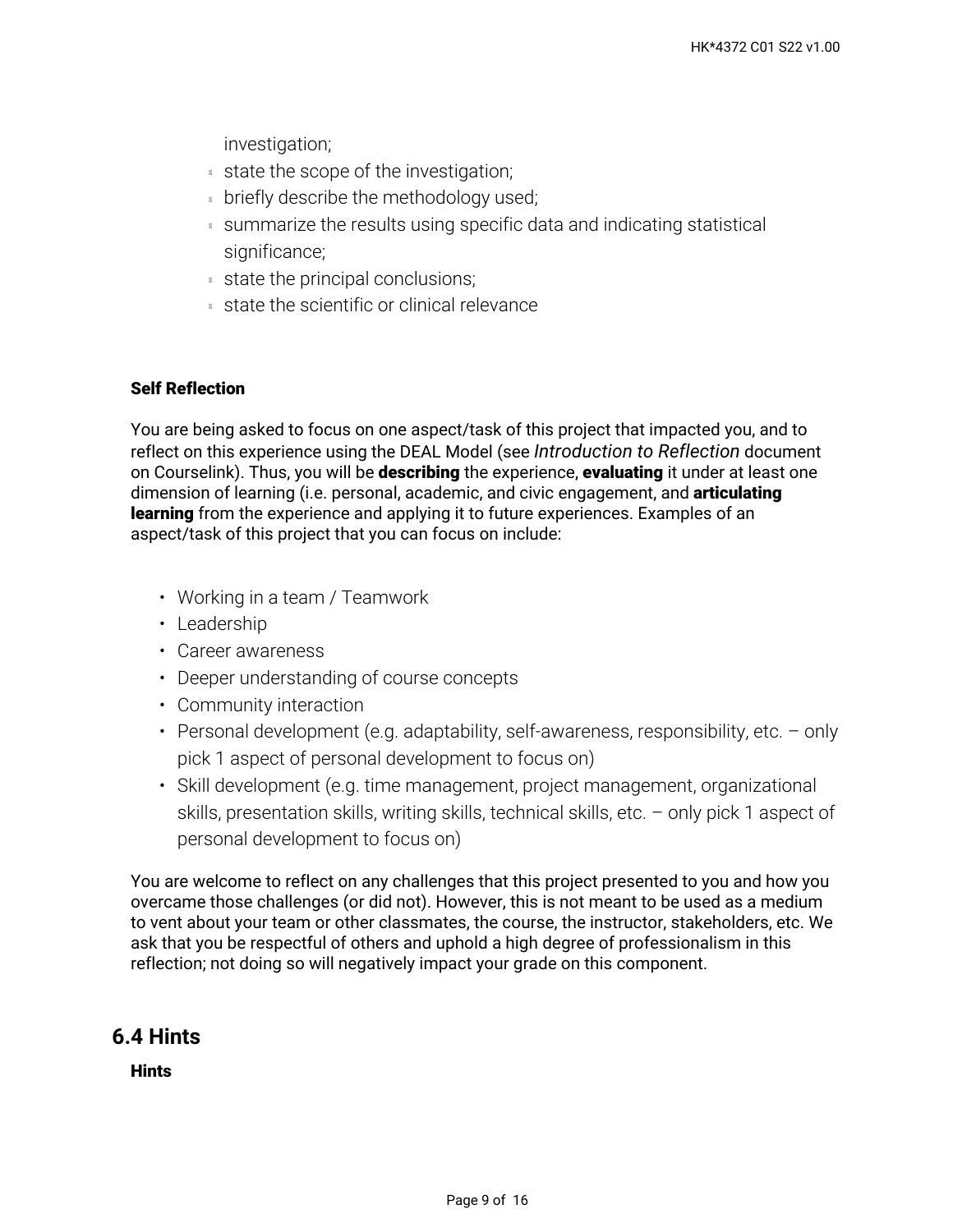investigation;

- state the scope of the investigation;
- **briefly describe the methodology used;**
- summarize the results using specific data and indicating statistical significance;
- state the principal conclusions;
- state the scientific or clinical relevance

#### **Self Reflection**

You are being asked to focus on one aspect/task of this project that impacted you, and to reflect on this experience using the DEAL Model (see *Introduction to Reflection* document on Courselink). Thus, you will be **describing** the experience, **evaluating** it under at least one dimension of learning (i.e. personal, academic, and civic engagement, and **articulating learning** from the experience and applying it to future experiences. Examples of an aspect/task of this project that you can focus on include:

- Working in a team / Teamwork
- Leadership
- Career awareness
- Deeper understanding of course concepts
- Community interaction
- Personal development (e.g. adaptability, self-awareness, responsibility, etc. only pick 1 aspect of personal development to focus on)
- Skill development (e.g. time management, project management, organizational skills, presentation skills, writing skills, technical skills, etc. – only pick 1 aspect of personal development to focus on)

You are welcome to reflect on any challenges that this project presented to you and how you overcame those challenges (or did not). However, this is not meant to be used as a medium to vent about your team or other classmates, the course, the instructor, stakeholders, etc. We ask that you be respectful of others and uphold a high degree of professionalism in this reflection; not doing so will negatively impact your grade on this component.

### **6.4 Hints**

**Hints**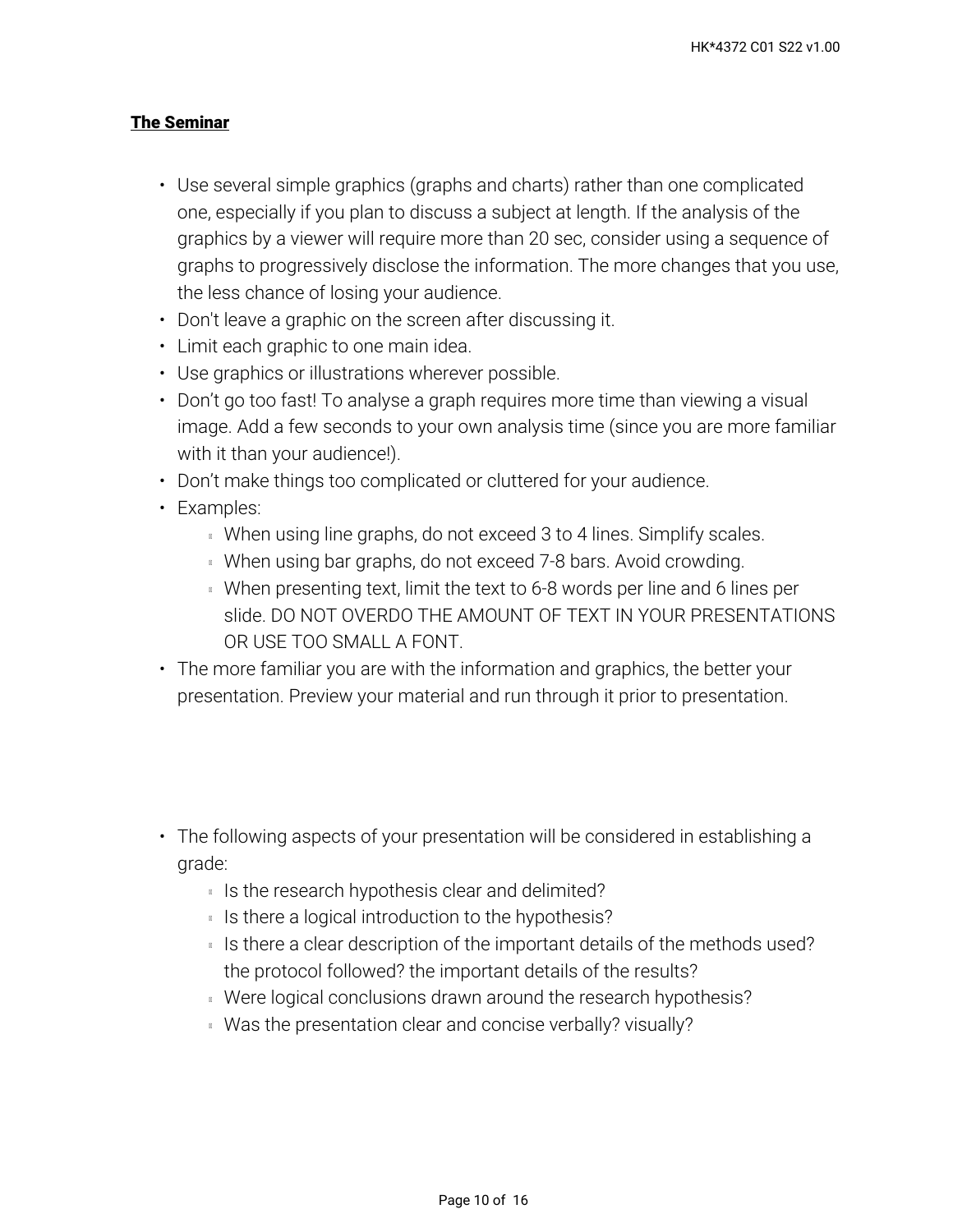#### **The Seminar**

- Use several simple graphics (graphs and charts) rather than one complicated one, especially if you plan to discuss a subject at length. If the analysis of the graphics by a viewer will require more than 20 sec, consider using a sequence of graphs to progressively disclose the information. The more changes that you use, the less chance of losing your audience.
- Don't leave a graphic on the screen after discussing it.
- Limit each graphic to one main idea.
- Use graphics or illustrations wherever possible.
- Don't go too fast! To analyse a graph requires more time than viewing a visual image. Add a few seconds to your own analysis time (since you are more familiar with it than your audience!).
- Don't make things too complicated or cluttered for your audience.
- Examples:
	- **When using line graphs, do not exceed 3 to 4 lines. Simplify scales.**
	- When using bar graphs, do not exceed 7-8 bars. Avoid crowding.
	- When presenting text, limit the text to 6-8 words per line and 6 lines per slide. DO NOT OVERDO THE AMOUNT OF TEXT IN YOUR PRESENTATIONS OR USE TOO SMALL A FONT.
- The more familiar you are with the information and graphics, the better your presentation. Preview your material and run through it prior to presentation.
- The following aspects of your presentation will be considered in establishing a grade:
	- Is the research hypothesis clear and delimited?
	- Is there a logical introduction to the hypothesis?
	- $\,$  Is there a clear description of the important details of the methods used? the protocol followed? the important details of the results?
	- Were logical conclusions drawn around the research hypothesis?
	- Was the presentation clear and concise verbally? visually?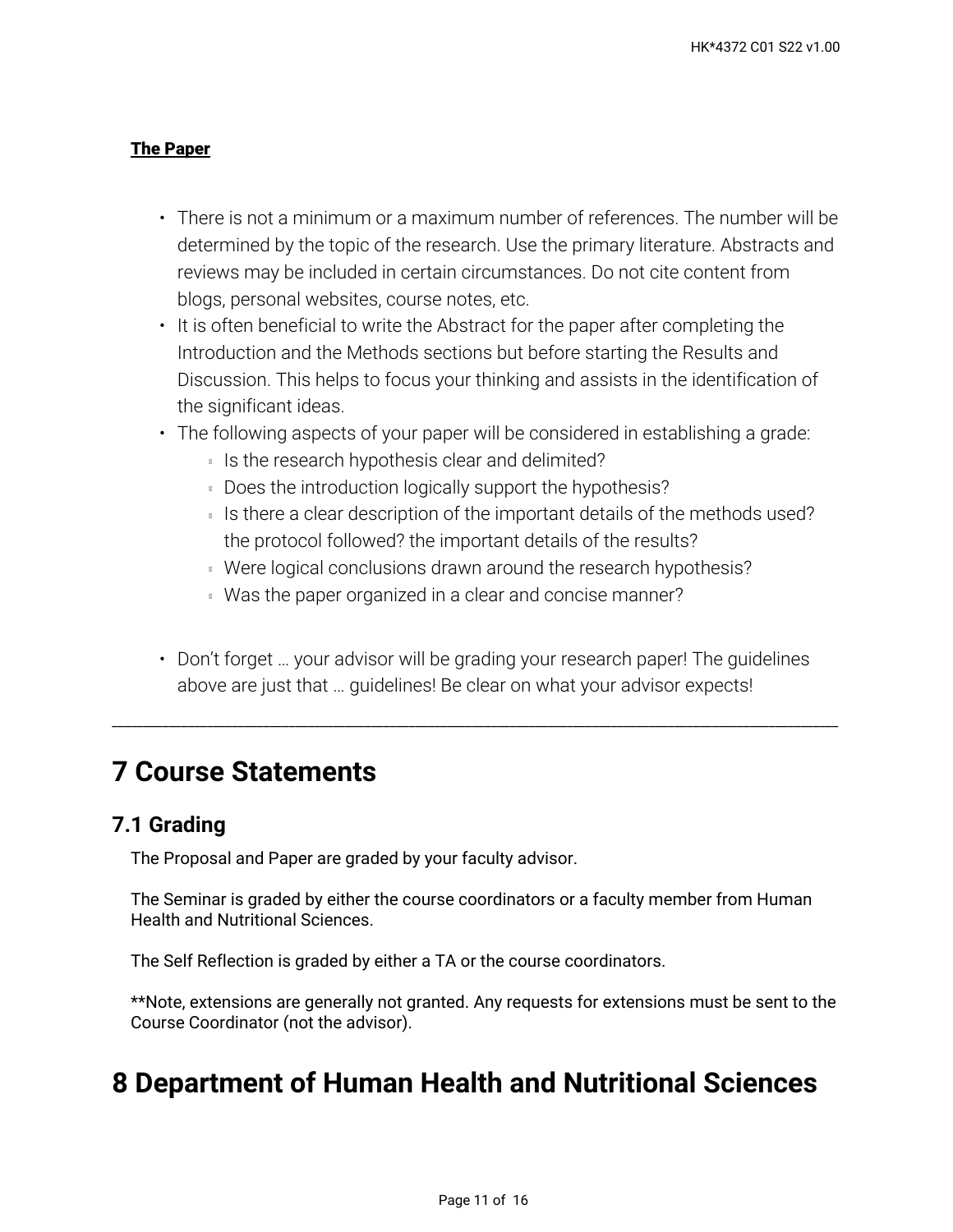#### **The Paper**

- There is not a minimum or a maximum number of references. The number will be determined by the topic of the research. Use the primary literature. Abstracts and reviews may be included in certain circumstances. Do not cite content from blogs, personal websites, course notes, etc.
- It is often beneficial to write the Abstract for the paper after completing the Introduction and the Methods sections but before starting the Results and Discussion. This helps to focus your thinking and assists in the identification of the significant ideas.
- The following aspects of your paper will be considered in establishing a grade:
	- Is the research hypothesis clear and delimited?
	- Does the introduction logically support the hypothesis?
	- $\,$  Is there a clear description of the important details of the methods used? the protocol followed? the important details of the results?
	- Were logical conclusions drawn around the research hypothesis?
	- **Was the paper organized in a clear and concise manner?**
- Don't forget … your advisor will be grading your research paper! The guidelines above are just that … guidelines! Be clear on what your advisor expects!

\_\_\_\_\_\_\_\_\_\_\_\_\_\_\_\_\_\_\_\_\_\_\_\_\_\_\_\_\_\_\_\_\_\_\_\_\_\_\_\_\_\_\_\_\_\_\_\_\_\_\_\_\_\_\_\_\_\_\_\_\_\_\_\_\_\_\_\_\_\_\_\_\_\_\_\_\_\_\_\_\_\_\_\_\_\_\_\_\_\_\_\_\_\_\_\_\_\_\_\_\_\_\_\_\_\_\_\_\_\_\_\_\_\_\_

## **7 Course Statements**

## **7.1 Grading**

The Proposal and Paper are graded by your faculty advisor.

The Seminar is graded by either the course coordinators or a faculty member from Human Health and Nutritional Sciences.

The Self Reflection is graded by either a TA or the course coordinators.

\*\*Note, extensions are generally not granted. Any requests for extensions must be sent to the Course Coordinator (not the advisor).

## **8 Department of Human Health and Nutritional Sciences**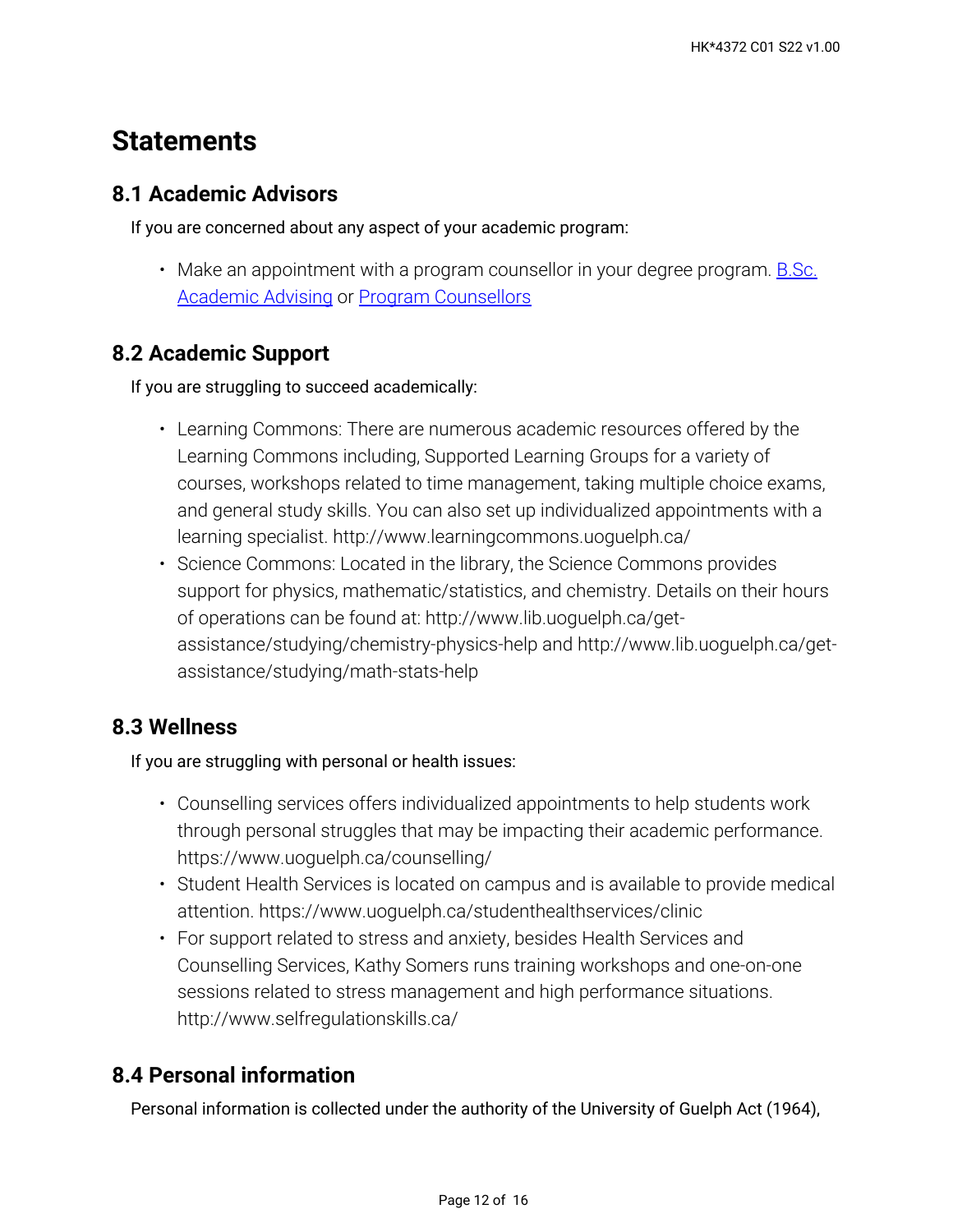## **Statements**

## **8.1 Academic Advisors**

If you are concerned about any aspect of your academic program:

• Make an appointment with a program counsellor in your degree program. <u>B.Sc.</u> [Academic Advising](https://bsc.uoguelph.ca/) or [Program Counsellors](https://www.uoguelph.ca/uaic/programcounsellors)

## **8.2 Academic Support**

If you are struggling to succeed academically:

- Learning Commons: There are numerous academic resources offered by the Learning Commons including, Supported Learning Groups for a variety of courses, workshops related to time management, taking multiple choice exams, and general study skills. You can also set up individualized appointments with a learning specialist. http://www.learningcommons.uoguelph.ca/
- Science Commons: Located in the library, the Science Commons provides support for physics, mathematic/statistics, and chemistry. Details on their hours of operations can be found at: http://www.lib.uoguelph.ca/getassistance/studying/chemistry-physics-help and http://www.lib.uoguelph.ca/getassistance/studying/math-stats-help

## **8.3 Wellness**

If you are struggling with personal or health issues:

- Counselling services offers individualized appointments to help students work through personal struggles that may be impacting their academic performance. https://www.uoguelph.ca/counselling/
- Student Health Services is located on campus and is available to provide medical attention. https://www.uoguelph.ca/studenthealthservices/clinic
- For support related to stress and anxiety, besides Health Services and Counselling Services, Kathy Somers runs training workshops and one-on-one sessions related to stress management and high performance situations. http://www.selfregulationskills.ca/

## **8.4 Personal information**

Personal information is collected under the authority of the University of Guelph Act (1964),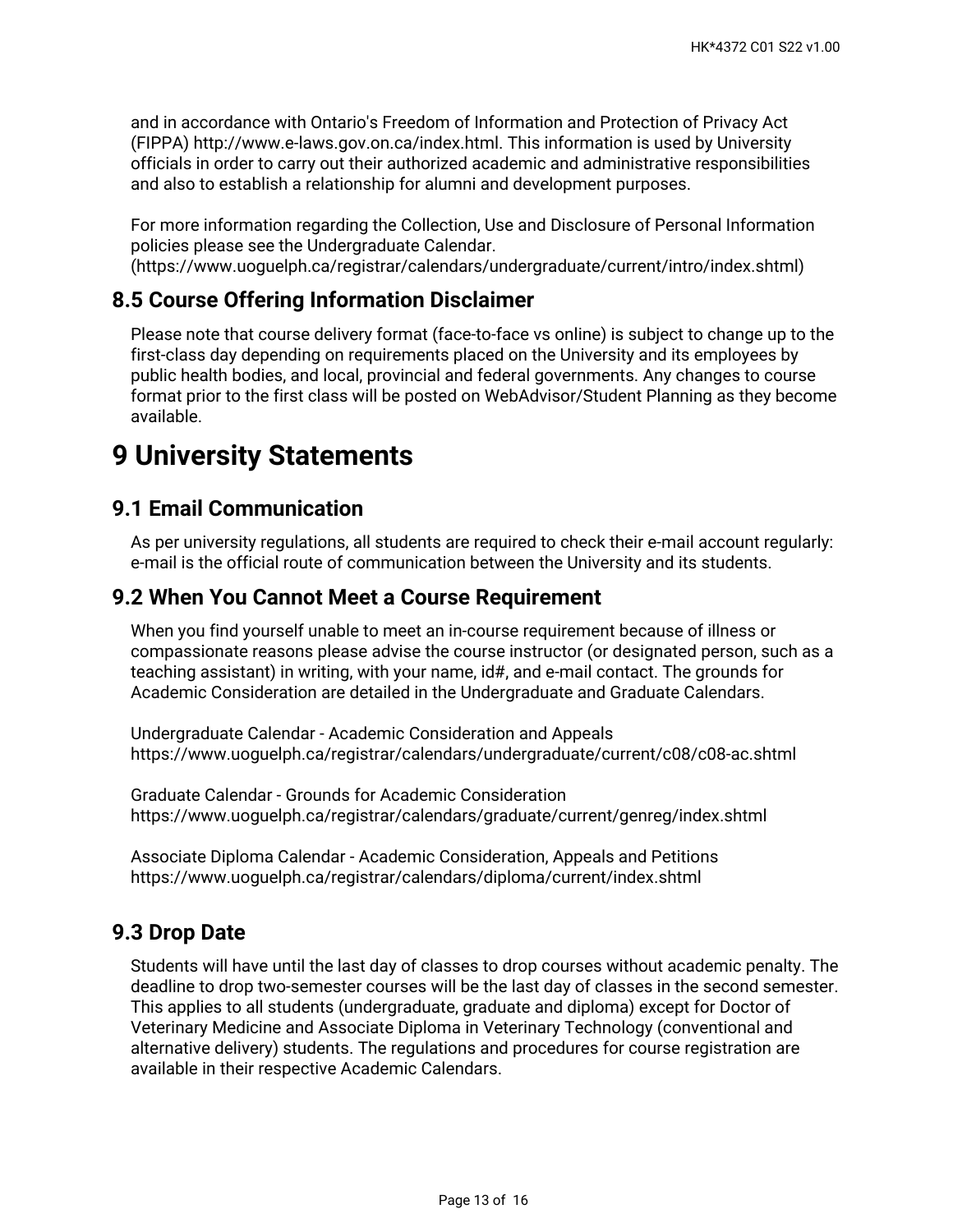and in accordance with Ontario's Freedom of Information and Protection of Privacy Act (FIPPA) http://www.e-laws.gov.on.ca/index.html. This information is used by University officials in order to carry out their authorized academic and administrative responsibilities and also to establish a relationship for alumni and development purposes.

For more information regarding the Collection, Use and Disclosure of Personal Information policies please see the Undergraduate Calendar. (https://www.uoguelph.ca/registrar/calendars/undergraduate/current/intro/index.shtml)

## **8.5 Course Offering Information Disclaimer**

Please note that course delivery format (face-to-face vs online) is subject to change up to the first-class day depending on requirements placed on the University and its employees by public health bodies, and local, provincial and federal governments. Any changes to course format prior to the first class will be posted on WebAdvisor/Student Planning as they become available.

## **9 University Statements**

## **9.1 Email Communication**

As per university regulations, all students are required to check their e-mail account regularly: e-mail is the official route of communication between the University and its students.

## **9.2 When You Cannot Meet a Course Requirement**

When you find yourself unable to meet an in-course requirement because of illness or compassionate reasons please advise the course instructor (or designated person, such as a teaching assistant) in writing, with your name, id#, and e-mail contact. The grounds for Academic Consideration are detailed in the Undergraduate and Graduate Calendars.

Undergraduate Calendar - Academic Consideration and Appeals https://www.uoguelph.ca/registrar/calendars/undergraduate/current/c08/c08-ac.shtml

Graduate Calendar - Grounds for Academic Consideration https://www.uoguelph.ca/registrar/calendars/graduate/current/genreg/index.shtml

Associate Diploma Calendar - Academic Consideration, Appeals and Petitions https://www.uoguelph.ca/registrar/calendars/diploma/current/index.shtml

## **9.3 Drop Date**

Students will have until the last day of classes to drop courses without academic penalty. The deadline to drop two-semester courses will be the last day of classes in the second semester. This applies to all students (undergraduate, graduate and diploma) except for Doctor of Veterinary Medicine and Associate Diploma in Veterinary Technology (conventional and alternative delivery) students. The regulations and procedures for course registration are available in their respective Academic Calendars.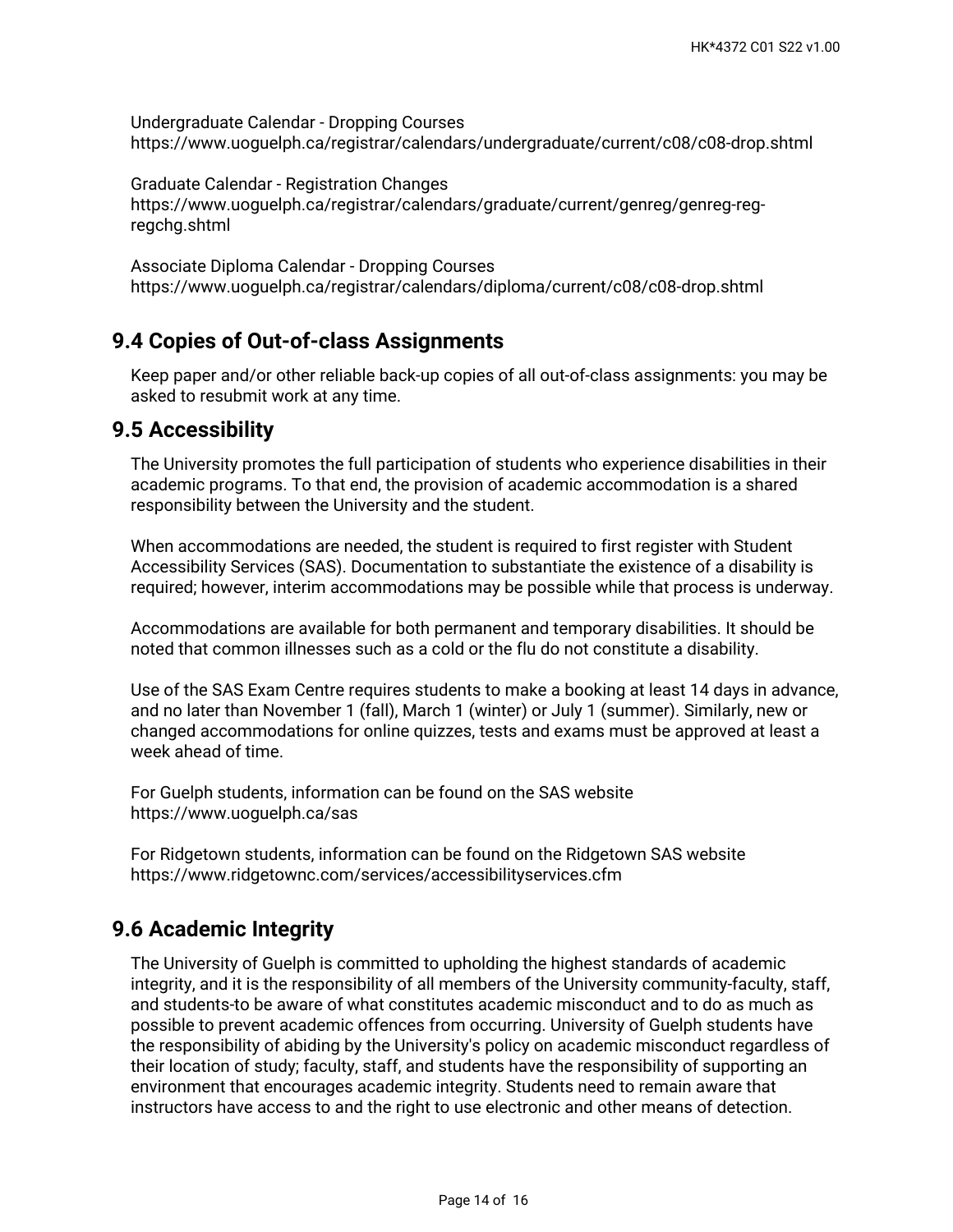Undergraduate Calendar - Dropping Courses https://www.uoguelph.ca/registrar/calendars/undergraduate/current/c08/c08-drop.shtml

Graduate Calendar - Registration Changes https://www.uoguelph.ca/registrar/calendars/graduate/current/genreg/genreg-regregchg.shtml

Associate Diploma Calendar - Dropping Courses https://www.uoguelph.ca/registrar/calendars/diploma/current/c08/c08-drop.shtml

## **9.4 Copies of Out-of-class Assignments**

Keep paper and/or other reliable back-up copies of all out-of-class assignments: you may be asked to resubmit work at any time.

### **9.5 Accessibility**

The University promotes the full participation of students who experience disabilities in their academic programs. To that end, the provision of academic accommodation is a shared responsibility between the University and the student.

When accommodations are needed, the student is required to first register with Student Accessibility Services (SAS). Documentation to substantiate the existence of a disability is required; however, interim accommodations may be possible while that process is underway.

Accommodations are available for both permanent and temporary disabilities. It should be noted that common illnesses such as a cold or the flu do not constitute a disability.

Use of the SAS Exam Centre requires students to make a booking at least 14 days in advance, and no later than November 1 (fall), March 1 (winter) or July 1 (summer). Similarly, new or changed accommodations for online quizzes, tests and exams must be approved at least a week ahead of time.

For Guelph students, information can be found on the SAS website https://www.uoguelph.ca/sas

For Ridgetown students, information can be found on the Ridgetown SAS website https://www.ridgetownc.com/services/accessibilityservices.cfm

## **9.6 Academic Integrity**

The University of Guelph is committed to upholding the highest standards of academic integrity, and it is the responsibility of all members of the University community-faculty, staff, and students-to be aware of what constitutes academic misconduct and to do as much as possible to prevent academic offences from occurring. University of Guelph students have the responsibility of abiding by the University's policy on academic misconduct regardless of their location of study; faculty, staff, and students have the responsibility of supporting an environment that encourages academic integrity. Students need to remain aware that instructors have access to and the right to use electronic and other means of detection.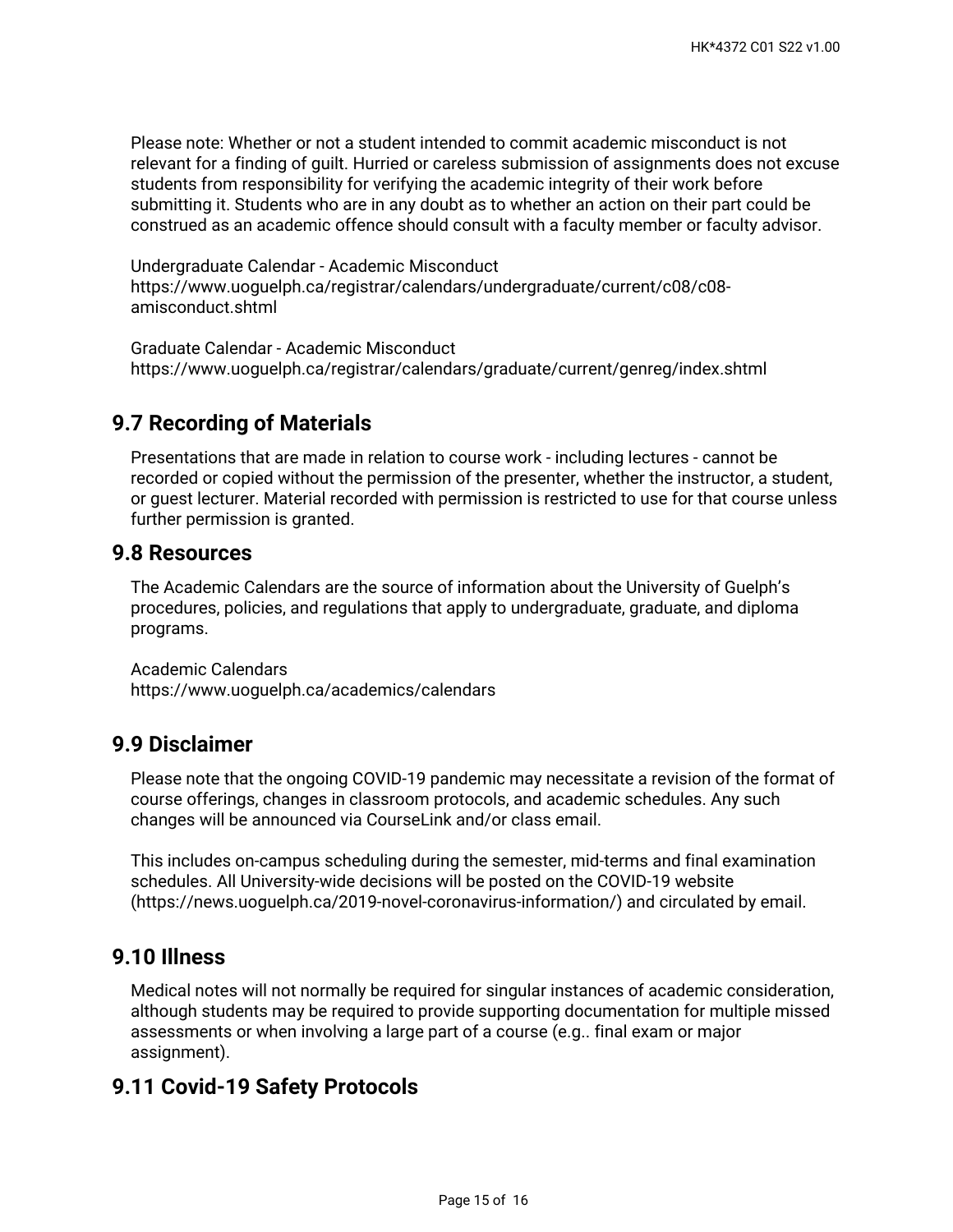Please note: Whether or not a student intended to commit academic misconduct is not relevant for a finding of guilt. Hurried or careless submission of assignments does not excuse students from responsibility for verifying the academic integrity of their work before submitting it. Students who are in any doubt as to whether an action on their part could be construed as an academic offence should consult with a faculty member or faculty advisor.

Undergraduate Calendar - Academic Misconduct https://www.uoguelph.ca/registrar/calendars/undergraduate/current/c08/c08 amisconduct.shtml

Graduate Calendar - Academic Misconduct https://www.uoguelph.ca/registrar/calendars/graduate/current/genreg/index.shtml

## **9.7 Recording of Materials**

Presentations that are made in relation to course work - including lectures - cannot be recorded or copied without the permission of the presenter, whether the instructor, a student, or guest lecturer. Material recorded with permission is restricted to use for that course unless further permission is granted.

#### **9.8 Resources**

The Academic Calendars are the source of information about the University of Guelph's procedures, policies, and regulations that apply to undergraduate, graduate, and diploma programs.

Academic Calendars https://www.uoguelph.ca/academics/calendars

### **9.9 Disclaimer**

Please note that the ongoing COVID-19 pandemic may necessitate a revision of the format of course offerings, changes in classroom protocols, and academic schedules. Any such changes will be announced via CourseLink and/or class email.

This includes on-campus scheduling during the semester, mid-terms and final examination schedules. All University-wide decisions will be posted on the COVID-19 website (https://news.uoguelph.ca/2019-novel-coronavirus-information/) and circulated by email.

## **9.10 Illness**

Medical notes will not normally be required for singular instances of academic consideration, although students may be required to provide supporting documentation for multiple missed assessments or when involving a large part of a course (e.g.. final exam or major assignment).

## **9.11 Covid-19 Safety Protocols**